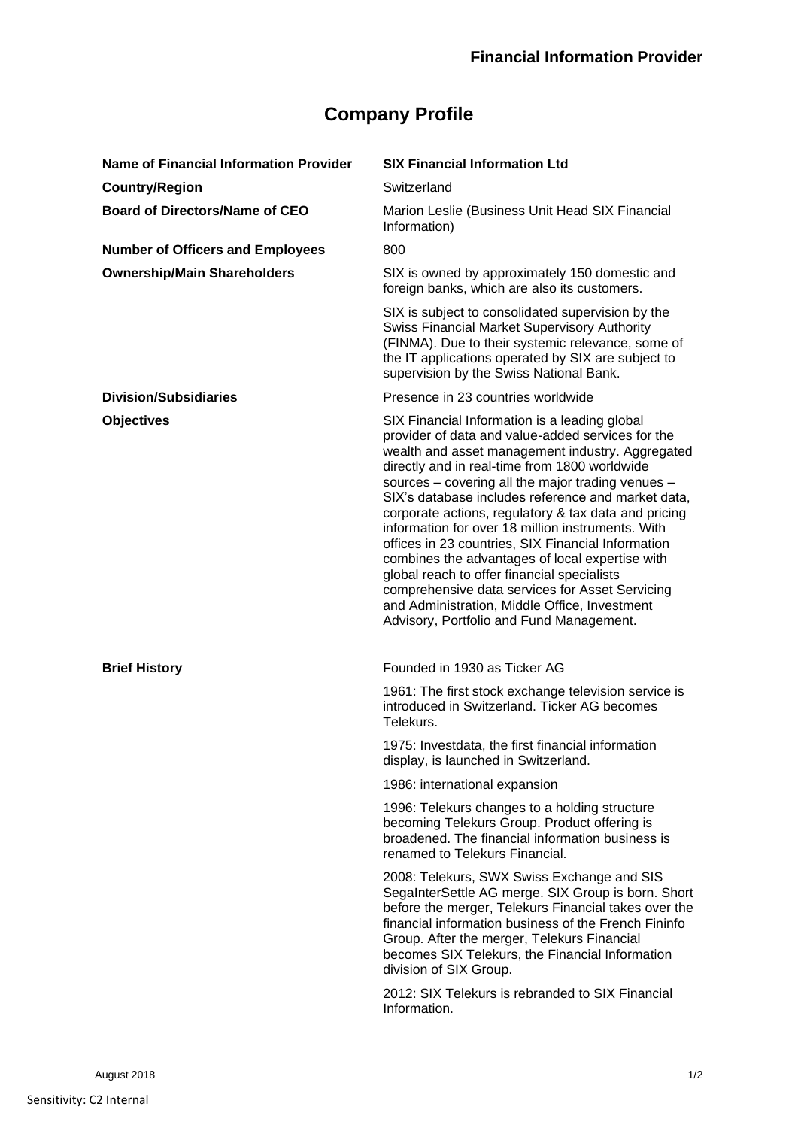## **Company Profile**

| Name of Financial Information Provider  | <b>SIX Financial Information Ltd</b>                                                                                                                                                                                                                                                                                                                                                                                                                                                                                                                                                                                                                                                                                                    |
|-----------------------------------------|-----------------------------------------------------------------------------------------------------------------------------------------------------------------------------------------------------------------------------------------------------------------------------------------------------------------------------------------------------------------------------------------------------------------------------------------------------------------------------------------------------------------------------------------------------------------------------------------------------------------------------------------------------------------------------------------------------------------------------------------|
| <b>Country/Region</b>                   | Switzerland                                                                                                                                                                                                                                                                                                                                                                                                                                                                                                                                                                                                                                                                                                                             |
| <b>Board of Directors/Name of CEO</b>   | Marion Leslie (Business Unit Head SIX Financial<br>Information)                                                                                                                                                                                                                                                                                                                                                                                                                                                                                                                                                                                                                                                                         |
| <b>Number of Officers and Employees</b> | 800                                                                                                                                                                                                                                                                                                                                                                                                                                                                                                                                                                                                                                                                                                                                     |
| <b>Ownership/Main Shareholders</b>      | SIX is owned by approximately 150 domestic and<br>foreign banks, which are also its customers.                                                                                                                                                                                                                                                                                                                                                                                                                                                                                                                                                                                                                                          |
|                                         | SIX is subject to consolidated supervision by the<br><b>Swiss Financial Market Supervisory Authority</b><br>(FINMA). Due to their systemic relevance, some of<br>the IT applications operated by SIX are subject to<br>supervision by the Swiss National Bank.                                                                                                                                                                                                                                                                                                                                                                                                                                                                          |
| <b>Division/Subsidiaries</b>            | Presence in 23 countries worldwide                                                                                                                                                                                                                                                                                                                                                                                                                                                                                                                                                                                                                                                                                                      |
| <b>Objectives</b>                       | SIX Financial Information is a leading global<br>provider of data and value-added services for the<br>wealth and asset management industry. Aggregated<br>directly and in real-time from 1800 worldwide<br>sources - covering all the major trading venues -<br>SIX's database includes reference and market data,<br>corporate actions, regulatory & tax data and pricing<br>information for over 18 million instruments. With<br>offices in 23 countries, SIX Financial Information<br>combines the advantages of local expertise with<br>global reach to offer financial specialists<br>comprehensive data services for Asset Servicing<br>and Administration, Middle Office, Investment<br>Advisory, Portfolio and Fund Management. |
| <b>Brief History</b>                    | Founded in 1930 as Ticker AG                                                                                                                                                                                                                                                                                                                                                                                                                                                                                                                                                                                                                                                                                                            |
|                                         | 1961: The first stock exchange television service is<br>introduced in Switzerland. Ticker AG becomes<br>Telekurs.                                                                                                                                                                                                                                                                                                                                                                                                                                                                                                                                                                                                                       |
|                                         | 1975: Investdata, the first financial information<br>display, is launched in Switzerland.                                                                                                                                                                                                                                                                                                                                                                                                                                                                                                                                                                                                                                               |
|                                         | 1986: international expansion                                                                                                                                                                                                                                                                                                                                                                                                                                                                                                                                                                                                                                                                                                           |
|                                         | 1996: Telekurs changes to a holding structure<br>becoming Telekurs Group. Product offering is<br>broadened. The financial information business is<br>renamed to Telekurs Financial.                                                                                                                                                                                                                                                                                                                                                                                                                                                                                                                                                     |
|                                         | 2008: Telekurs, SWX Swiss Exchange and SIS<br>SegaInterSettle AG merge. SIX Group is born. Short<br>before the merger, Telekurs Financial takes over the<br>financial information business of the French Fininfo<br>Group. After the merger, Telekurs Financial<br>becomes SIX Telekurs, the Financial Information<br>division of SIX Group.                                                                                                                                                                                                                                                                                                                                                                                            |
|                                         | 2012: SIX Telekurs is rebranded to SIX Financial<br>Information.                                                                                                                                                                                                                                                                                                                                                                                                                                                                                                                                                                                                                                                                        |